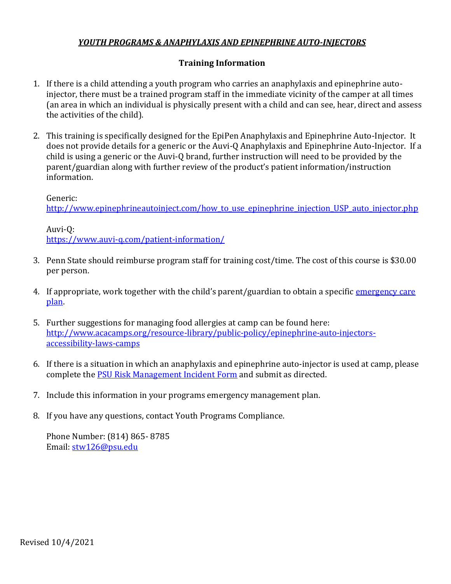## *YOUTH PROGRAMS & ANAPHYLAXIS AND EPINEPHRINE AUTO-INJECTORS*

## **Training Information**

- 1. If there is a child attending a youth program who carries an anaphylaxis and epinephrine autoinjector, there must be a trained program staff in the immediate vicinity of the camper at all times (an area in which an individual is physically present with a child and can see, hear, direct and assess the activities of the child).
- 2. This training is specifically designed for the EpiPen Anaphylaxis and Epinephrine Auto-Injector. It does not provide details for a generic or the Auvi-Q Anaphylaxis and Epinephrine Auto-Injector. If a child is using a generic or the Auvi-Q brand, further instruction will need to be provided by the parent/guardian along with further review of the product's patient information/instruction information.

Generic:

http://www.epinephrineautoinject.com/how to use epinephrine injection USP auto injector.php

Auvi-Q: <https://www.auvi-q.com/patient-information/>

- 3. Penn State should reimburse program staff for training cost/time. The cost of this course is \$30.00 per person.
- 4. If appropriate, work together with the child's parent/guardian to obtain a specific *emergency care* [plan.](https://www.foodallergy.org/file/emergency-care-plan.pdf)
- 5. Further suggestions for managing food allergies at camp can be found here: [http://www.acacamps.org/resource-library/public-policy/epinephrine-auto-injectors](http://www.acacamps.org/resource-library/public-policy/epinephrine-auto-injectors-accessibility-laws-camps)[accessibility-laws-camps](http://www.acacamps.org/resource-library/public-policy/epinephrine-auto-injectors-accessibility-laws-camps)
- 6. If there is a situation in which an anaphylaxis and epinephrine auto-injector is used at camp, please complete the [PSU Risk Management Incident Form](file:///C:/Users/stw126/Downloads/8-05IncidentFormFRM3%20(5).pdf) and submit as directed.
- 7. Include this information in your programs emergency management plan.
- 8. If you have any questions, contact Youth Programs Compliance.

Phone Number: (814) 865- 8785 Email: [stw126@psu.edu](mailto:stw126@psu.edu)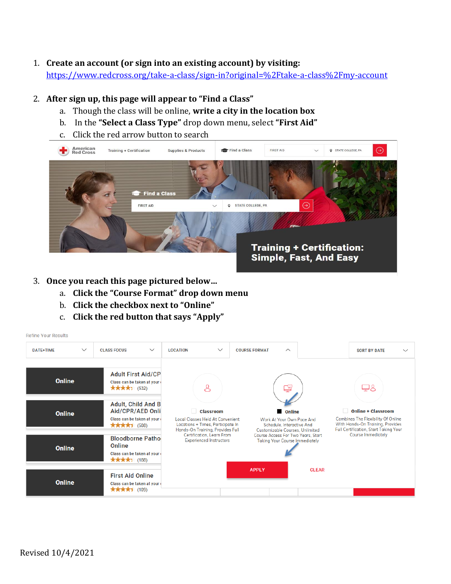## 1. **Create an account (or sign into an existing account) by visiting:**

<https://www.redcross.org/take-a-class/sign-in?original=%2Ftake-a-class%2Fmy-account>

## 2. **After sign up, this page will appear to "Find a Class"**

- a. Though the class will be online, **write a city in the location box**
- b. In the **"Select a Class Type"** drop down menu, select **"First Aid"**
- c. Click the red arrow button to search



- 3. **Once you reach this page pictured below…**
	- a. **Click the "Course Format" drop down menu**
	- b. **Click the checkbox next to "Online"**
	- c. **Click the red button that says "Apply"**

| <b>Refine Your Results</b>                                                                       |                                                    |                                                                                            |                                 |                                                                                                                                      |                      |                    |                                                                                                             |              |                     |                                                                                                                                              |  |
|--------------------------------------------------------------------------------------------------|----------------------------------------------------|--------------------------------------------------------------------------------------------|---------------------------------|--------------------------------------------------------------------------------------------------------------------------------------|----------------------|--------------------|-------------------------------------------------------------------------------------------------------------|--------------|---------------------|----------------------------------------------------------------------------------------------------------------------------------------------|--|
| <b>DATE+TIME</b>                                                                                 | $\checkmark$<br>$\checkmark$<br><b>CLASS FOCUS</b> |                                                                                            | $\checkmark$<br><b>LOCATION</b> |                                                                                                                                      | <b>COURSE FORMAT</b> | $\curvearrowright$ |                                                                                                             |              | <b>SORT BY DATE</b> | $\checkmark$                                                                                                                                 |  |
| <b>Online</b>                                                                                    |                                                    | <b>Adult First Aid/CP</b><br>Class can be taken at your<br>★★★★1 (532)                     |                                 | &                                                                                                                                    |                      |                    | 룋                                                                                                           |              |                     | ₽8                                                                                                                                           |  |
| <b>Online</b>                                                                                    |                                                    | <b>Adult, Child And B</b><br>Aid/CPR/AED Onli<br>Class can be taken at your<br>★★★★1 (508) |                                 | <b>Classroom</b><br><b>Local Classes Held At Convenient</b><br>Locations + Times, Participate In<br>Hands-On Training, Provides Full |                      |                    | Online<br>Work At Your Own Pace And<br>Schedule, Interactive And<br><b>Customizable Courses</b> , Unlimited |              |                     | <b>Online + Classroom</b><br>Combines The Flexibility Of Online<br>With Hands-On Training, Provides<br>Full Certification, Start Taking Your |  |
| <b>Bloodborne Pathol</b><br>Online<br><b>Online</b><br>Class can be taken at your<br>★★★★1 (188) |                                                    | Certification, Learn From<br><b>Experienced Instructors</b>                                |                                 | Course Access For Two Years, Start<br><b>Taking Your Course Immediately</b>                                                          |                      |                    | <b>Course Immediately</b>                                                                                   |              |                     |                                                                                                                                              |  |
| <b>Online</b>                                                                                    |                                                    | <b>First Aid Online</b><br>Class can be taken at your<br>★★★★1 (109)                       |                                 |                                                                                                                                      |                      | <b>APPLY</b>       |                                                                                                             | <b>CLEAR</b> |                     |                                                                                                                                              |  |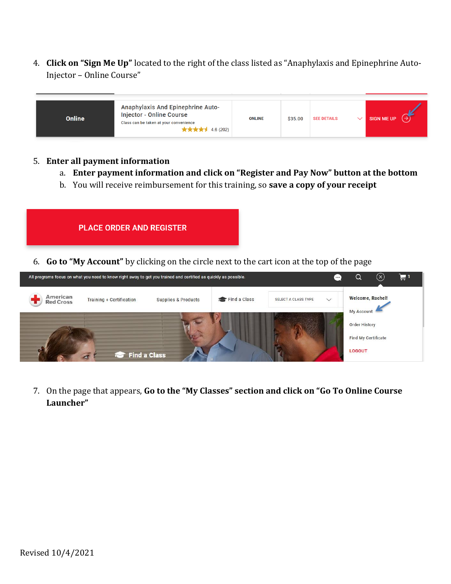4. **Click on "Sign Me Up"** located to the right of the class listed as "Anaphylaxis and Epinephrine Auto-Injector – Online Course"

| Anaphylaxis And Epinephrine Auto-<br><b>Injector - Online Course</b><br>Online<br>Class can be taken at your convenience<br>★★★★★ 4.6 (202) | <b>ONLINE</b> | \$35.00 | <b>SEE DETAILS</b> |  | <b>SIGN ME UP</b> |
|---------------------------------------------------------------------------------------------------------------------------------------------|---------------|---------|--------------------|--|-------------------|
|---------------------------------------------------------------------------------------------------------------------------------------------|---------------|---------|--------------------|--|-------------------|

#### 5. **Enter all payment information**

a. **Enter payment information and click on "Register and Pay Now" button at the bottom**

 $\mathbf{F}$ <sup>1</sup>

b. You will receive reimbursement for this training, so **save a copy of your receipt**





7. On the page that appears, **Go to the "My Classes" section and click on "Go To Online Course Launcher"**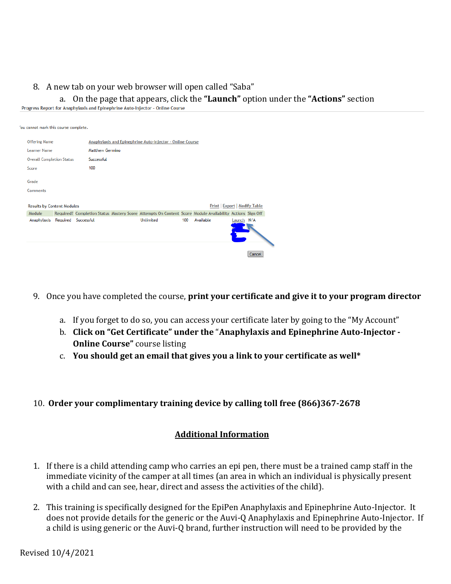# 8. A new tab on your web browser will open called "Saba" a. On the page that appears, click the **"Launch"** option under the **"Actions"** section

| 'ou cannot mark this course complete. |                     |                                                           |                                                                                                          |     |                                      |            |        |  |  |  |
|---------------------------------------|---------------------|-----------------------------------------------------------|----------------------------------------------------------------------------------------------------------|-----|--------------------------------------|------------|--------|--|--|--|
| <b>Offering Name</b>                  |                     | Anaphylaxis and Epinephrine Auto-Injector - Online Course |                                                                                                          |     |                                      |            |        |  |  |  |
| <b>Learner Name</b>                   |                     | <b>Matthew Germino</b>                                    |                                                                                                          |     |                                      |            |        |  |  |  |
| <b>Overall Completion Status</b>      | Successful          |                                                           |                                                                                                          |     |                                      |            |        |  |  |  |
| Score                                 | 100                 |                                                           |                                                                                                          |     |                                      |            |        |  |  |  |
| Grade                                 |                     |                                                           |                                                                                                          |     |                                      |            |        |  |  |  |
| Comments                              |                     |                                                           |                                                                                                          |     |                                      |            |        |  |  |  |
| <b>Results by Content Modules</b>     |                     |                                                           |                                                                                                          |     | <b>Print   Export   Modify Table</b> |            |        |  |  |  |
| Module                                |                     |                                                           | Required? Completion Status Mastery Score Attempts On Content Score Module Availability Actions Sign Off |     |                                      |            |        |  |  |  |
| Anaphylaxis                           | Required Successful |                                                           | <b>Unlimited</b>                                                                                         | 100 | Available                            | Launch N/A |        |  |  |  |
|                                       |                     |                                                           |                                                                                                          |     |                                      |            | Cancel |  |  |  |

- 9. Once you have completed the course, **print your certificate and give it to your program director**
	- a. If you forget to do so, you can access your certificate later by going to the "My Account"
	- b. **Click on "Get Certificate" under the** "**Anaphylaxis and Epinephrine Auto-Injector - Online Course**" course listing
	- c. **You should get an email that gives you a link to your certificate as well\***

#### 10. **Order your complimentary training device by calling toll free (866)367-2678**

#### **Additional Information**

- 1. If there is a child attending camp who carries an epi pen, there must be a trained camp staff in the immediate vicinity of the camper at all times (an area in which an individual is physically present with a child and can see, hear, direct and assess the activities of the child).
- 2. This training is specifically designed for the EpiPen Anaphylaxis and Epinephrine Auto-Injector. It does not provide details for the generic or the Auvi-Q Anaphylaxis and Epinephrine Auto-Injector. If a child is using generic or the Auvi-Q brand, further instruction will need to be provided by the

Revised 10/4/2021